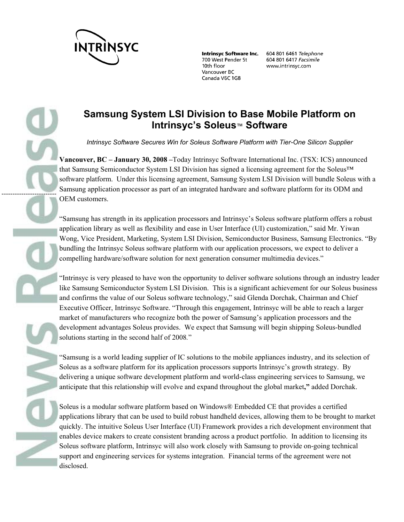

-------------------------

**Intrinsyc Software Inc.** 700 West Pender St 10th floor Vancouver BC Canada V6C 1G8

604 801 6461 Telephone 604 801 6417 Facsimile www.intrinsyc.com

# **Samsung System LSI Division to Base Mobile Platform on Intrinsyc's Soleus**™ **Software**

*Intrinsyc Software Secures Win for Soleus Software Platform with Tier-One Silicon Supplier*

**Vancouver, BC – January 30, 2008 –**Today Intrinsyc Software International Inc. (TSX: ICS) announced that Samsung Semiconductor System LSI Division has signed a licensing agreement for the Soleus™ software platform. Under this licensing agreement, Samsung System LSI Division will bundle Soleus with a Samsung application processor as part of an integrated hardware and software platform for its ODM and OEM customers.

"Samsung has strength in its application processors and Intrinsyc's Soleus software platform offers a robust application library as well as flexibility and ease in User Interface (UI) customization," said Mr. Yiwan Wong, Vice President, Marketing, System LSI Division, Semiconductor Business, Samsung Electronics. "By bundling the Intrinsyc Soleus software platform with our application processors, we expect to deliver a compelling hardware/software solution for next generation consumer multimedia devices."

"Intrinsyc is very pleased to have won the opportunity to deliver software solutions through an industry leader like Samsung Semiconductor System LSI Division. This is a significant achievement for our Soleus business and confirms the value of our Soleus software technology," said Glenda Dorchak, Chairman and Chief Executive Officer, Intrinsyc Software. "Through this engagement, Intrinsyc will be able to reach a larger market of manufacturers who recognize both the power of Samsung's application processors and the development advantages Soleus provides. We expect that Samsung will begin shipping Soleus-bundled solutions starting in the second half of 2008*.*"

"Samsung is a world leading supplier of IC solutions to the mobile appliances industry, and its selection of Soleus as a software platform for its application processors supports Intrinsyc's growth strategy. By delivering a unique software development platform and world-class engineering services to Samsung, we anticipate that this relationship will evolve and expand throughout the global market**,"** added Dorchak.

Soleus is a modular software platform based on Windows® Embedded CE that provides a certified applications library that can be used to build robust handheld devices, allowing them to be brought to market quickly. The intuitive Soleus User Interface (UI) Framework provides a rich development environment that enables device makers to create consistent branding across a product portfolio. In addition to licensing its Soleus software platform, Intrinsyc will also work closely with Samsung to provide on-going technical support and engineering services for systems integration. Financial terms of the agreement were not disclosed.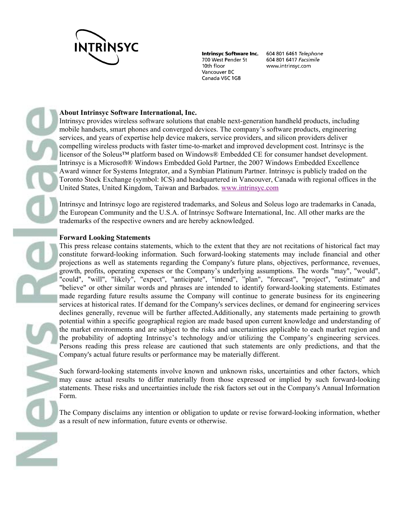

**Intrinsyc Software Inc.** 700 West Pender St 10th floor Vancouver BC Canada V6C 1G8

604 801 6461 Telephone 604 801 6417 Facsimile www.intrinsyc.com

## **About Intrinsyc Software International, Inc.**

Intrinsyc provides wireless software solutions that enable next-generation handheld products, including mobile handsets, smart phones and converged devices. The company's software products, engineering services, and years of expertise help device makers, service providers, and silicon providers deliver compelling wireless products with faster time-to-market and improved development cost. Intrinsyc is the licensor of the Soleus™ platform based on Windows® Embedded CE for consumer handset development. Intrinsyc is a Microsoft® Windows Embedded Gold Partner, the 2007 Windows Embedded Excellence Award winner for Systems Integrator, and a Symbian Platinum Partner. Intrinsyc is publicly traded on the Toronto Stock Exchange (symbol: ICS) and headquartered in Vancouver, Canada with regional offices in the United States, United Kingdom, Taiwan and Barbados. www.intrinsyc.com

Intrinsyc and Intrinsyc logo are registered trademarks, and Soleus and Soleus logo are trademarks in Canada, the European Community and the U.S.A. of Intrinsyc Software International, Inc. All other marks are the trademarks of the respective owners and are hereby acknowledged.

### **Forward Looking Statements**

This press release contains statements, which to the extent that they are not recitations of historical fact may constitute forward-looking information. Such forward-looking statements may include financial and other projections as well as statements regarding the Company's future plans, objectives, performance, revenues, growth, profits, operating expenses or the Company's underlying assumptions. The words "may", "would", "could", "will", "likely", "expect", "anticipate", "intend", "plan", "forecast", "project", "estimate" and "believe" or other similar words and phrases are intended to identify forward-looking statements. Estimates made regarding future results assume the Company will continue to generate business for its engineering services at historical rates. If demand for the Company's services declines, or demand for engineering services declines generally, revenue will be further affected.Additionally, any statements made pertaining to growth potential within a specific geographical region are made based upon current knowledge and understanding of the market environments and are subject to the risks and uncertainties applicable to each market region and the probability of adopting Intrinsyc's technology and/or utilizing the Company's engineering services. Persons reading this press release are cautioned that such statements are only predictions, and that the Company's actual future results or performance may be materially different.

Such forward-looking statements involve known and unknown risks, uncertainties and other factors, which may cause actual results to differ materially from those expressed or implied by such forward-looking statements. These risks and uncertainties include the risk factors set out in the Company's Annual Information Form.

The Company disclaims any intention or obligation to update or revise forward-looking information, whether as a result of new information, future events or otherwise.